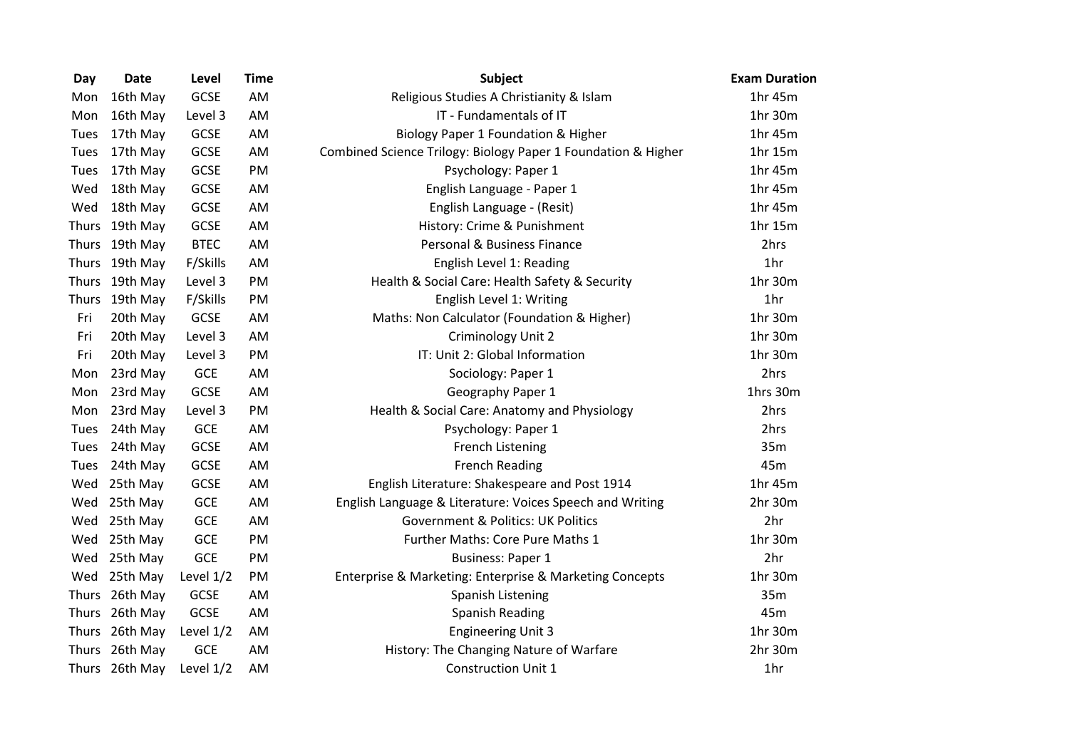| Day          | <b>Date</b>    | Level       | <b>Time</b> | <b>Subject</b>                                                | <b>Exam Duration</b> |
|--------------|----------------|-------------|-------------|---------------------------------------------------------------|----------------------|
| Mon          | 16th May       | <b>GCSE</b> | AM          | Religious Studies A Christianity & Islam                      | 1hr 45m              |
| Mon          | 16th May       | Level 3     | AM          | IT - Fundamentals of IT                                       | 1hr 30m              |
| Tues         | 17th May       | <b>GCSE</b> | AM          | Biology Paper 1 Foundation & Higher                           | 1hr 45m              |
| Tues         | 17th May       | <b>GCSE</b> | AM          | Combined Science Trilogy: Biology Paper 1 Foundation & Higher | 1hr 15m              |
| Tues         | 17th May       | <b>GCSE</b> | PM          | Psychology: Paper 1                                           | 1hr 45m              |
| Wed          | 18th May       | GCSE        | AM          | English Language - Paper 1                                    | 1hr 45m              |
| Wed          | 18th May       | GCSE        | AM          | English Language - (Resit)                                    | 1hr 45m              |
| <b>Thurs</b> | 19th May       | <b>GCSE</b> | AM          | History: Crime & Punishment                                   | 1hr 15m              |
| <b>Thurs</b> | 19th May       | <b>BTEC</b> | AM          | Personal & Business Finance                                   | 2hrs                 |
| <b>Thurs</b> | 19th May       | F/Skills    | AM          | English Level 1: Reading                                      | 1hr                  |
| Thurs        | 19th May       | Level 3     | PM          | Health & Social Care: Health Safety & Security                | 1hr 30m              |
| <b>Thurs</b> | 19th May       | F/Skills    | PM          | English Level 1: Writing                                      | 1hr                  |
| Fri          | 20th May       | GCSE        | AM          | Maths: Non Calculator (Foundation & Higher)                   | 1hr 30m              |
| Fri          | 20th May       | Level 3     | AM          | Criminology Unit 2                                            | 1hr 30m              |
| Fri          | 20th May       | Level 3     | PM          | IT: Unit 2: Global Information                                | 1hr 30m              |
| Mon          | 23rd May       | GCE         | AM          | Sociology: Paper 1                                            | 2hrs                 |
| Mon          | 23rd May       | <b>GCSE</b> | AM          | Geography Paper 1                                             | 1hrs 30m             |
| Mon          | 23rd May       | Level 3     | PM          | Health & Social Care: Anatomy and Physiology                  | 2hrs                 |
| Tues         | 24th May       | GCE         | AM          | Psychology: Paper 1                                           | 2hrs                 |
| Tues         | 24th May       | <b>GCSE</b> | AM          | <b>French Listening</b>                                       | 35m                  |
| Tues         | 24th May       | GCSE        | AM          | <b>French Reading</b>                                         | 45m                  |
| Wed          | 25th May       | GCSE        | AM          | English Literature: Shakespeare and Post 1914                 | 1hr 45m              |
| Wed          | 25th May       | <b>GCE</b>  | AM          | English Language & Literature: Voices Speech and Writing      | 2hr 30m              |
| Wed          | 25th May       | GCE         | AM          | <b>Government &amp; Politics: UK Politics</b>                 | 2hr                  |
| Wed          | 25th May       | GCE         | PM          | Further Maths: Core Pure Maths 1                              | 1hr 30m              |
| Wed          | 25th May       | GCE         | PM          | <b>Business: Paper 1</b>                                      | 2hr                  |
| Wed          | 25th May       | Level $1/2$ | PM          | Enterprise & Marketing: Enterprise & Marketing Concepts       | 1hr 30m              |
| <b>Thurs</b> | 26th May       | <b>GCSE</b> | AM          | Spanish Listening                                             | 35m                  |
| Thurs        | 26th May       | <b>GCSE</b> | AM          | <b>Spanish Reading</b>                                        | 45m                  |
| Thurs        | 26th May       | Level 1/2   | AM          | <b>Engineering Unit 3</b>                                     | 1hr 30m              |
| <b>Thurs</b> | 26th May       | <b>GCE</b>  | AM          | History: The Changing Nature of Warfare                       | 2hr 30m              |
|              | Thurs 26th May | Level 1/2   | AM          | <b>Construction Unit 1</b>                                    | 1hr                  |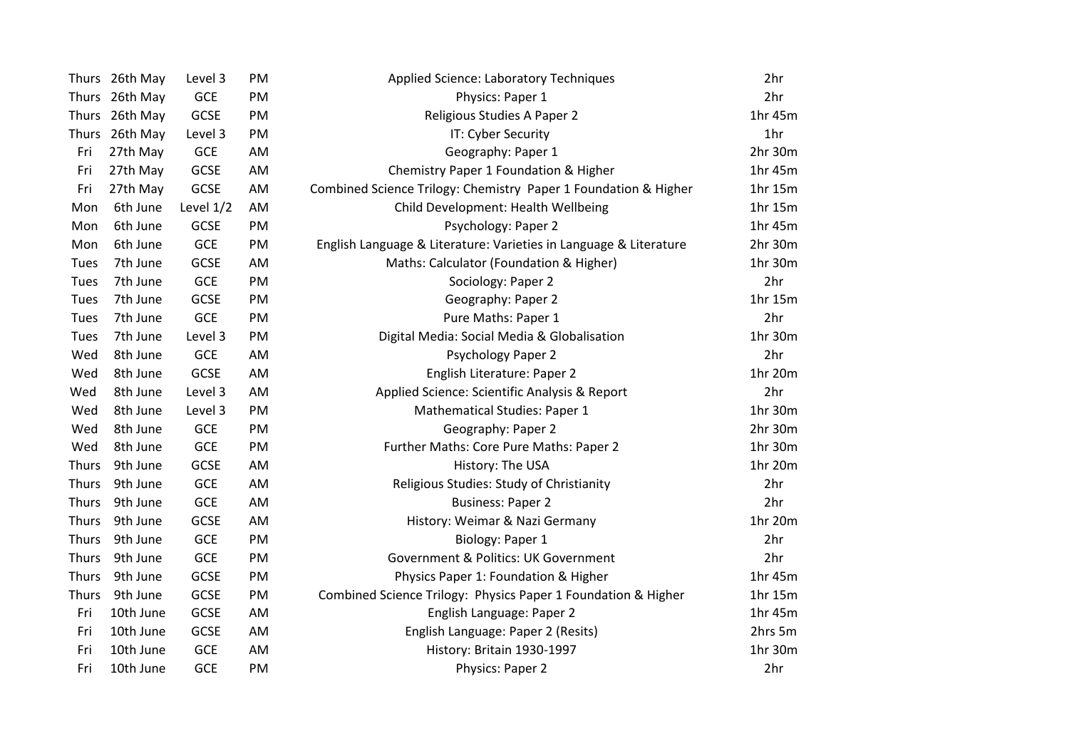| Thurs 26th May | Level 3     | PM | <b>Applied Science: Laboratory Techniques</b>                     | 2hr                       |
|----------------|-------------|----|-------------------------------------------------------------------|---------------------------|
| Thurs 26th May | GCE         | PM | Physics: Paper 1                                                  | 2hr                       |
| Thurs 26th May | GCSE        | PM | Religious Studies A Paper 2                                       | 1hr 45m                   |
| Thurs 26th May | Level 3     | PM | IT: Cyber Security                                                | 1hr                       |
| 27th May       | <b>GCE</b>  | AM | Geography: Paper 1                                                | 2hr 30m                   |
| 27th May       | <b>GCSE</b> | AM | Chemistry Paper 1 Foundation & Higher                             | 1hr 45m                   |
| 27th May       | <b>GCSE</b> | AM | Combined Science Trilogy: Chemistry Paper 1 Foundation & Higher   | 1hr 15m                   |
| 6th June       | Level 1/2   | AM | Child Development: Health Wellbeing                               | 1hr 15m                   |
| 6th June       | <b>GCSE</b> | PM | Psychology: Paper 2                                               | 1hr 45m                   |
| 6th June       | <b>GCE</b>  | PM | English Language & Literature: Varieties in Language & Literature | 2hr 30m                   |
| 7th June       | GCSE        | AM | Maths: Calculator (Foundation & Higher)                           | 1hr 30m                   |
| 7th June       | <b>GCE</b>  | PM | Sociology: Paper 2                                                | 2hr                       |
| 7th June       | <b>GCSE</b> | PM | Geography: Paper 2                                                | 1hr 15m                   |
| 7th June       | <b>GCE</b>  | PM | Pure Maths: Paper 1                                               | 2hr                       |
| 7th June       | Level 3     | PM | Digital Media: Social Media & Globalisation                       | 1hr 30m                   |
| 8th June       | <b>GCE</b>  | AM | <b>Psychology Paper 2</b>                                         | 2hr                       |
| 8th June       | <b>GCSE</b> | AM | English Literature: Paper 2                                       | 1hr 20m                   |
| 8th June       | Level 3     | AM | Applied Science: Scientific Analysis & Report                     | 2hr                       |
| 8th June       | Level 3     | PM | Mathematical Studies: Paper 1                                     | 1hr 30m                   |
| 8th June       | <b>GCE</b>  | PM | Geography: Paper 2                                                | 2hr 30m                   |
| 8th June       | <b>GCE</b>  | PM | Further Maths: Core Pure Maths: Paper 2                           | 1hr 30m                   |
| 9th June       | <b>GCSE</b> | AM | History: The USA                                                  | 1hr 20m                   |
| 9th June       | <b>GCE</b>  | AM | Religious Studies: Study of Christianity                          | 2hr                       |
| 9th June       | <b>GCE</b>  | AM | <b>Business: Paper 2</b>                                          | 2hr                       |
| 9th June       | <b>GCSE</b> | AM | History: Weimar & Nazi Germany                                    | 1hr 20m                   |
| 9th June       | <b>GCE</b>  | PM | Biology: Paper 1                                                  | 2hr                       |
| 9th June       | <b>GCE</b>  | PM | Government & Politics: UK Government                              | 2hr                       |
| 9th June       | <b>GCSE</b> | PM | Physics Paper 1: Foundation & Higher                              | 1hr 45m                   |
| 9th June       | <b>GCSE</b> | PM | Combined Science Trilogy: Physics Paper 1 Foundation & Higher     | 1hr 15m                   |
| 10th June      | <b>GCSE</b> | AM |                                                                   | 1hr 45m                   |
| 10th June      | <b>GCSE</b> | AM | English Language: Paper 2 (Resits)                                | 2hrs 5m                   |
| 10th June      | GCE         | AM | History: Britain 1930-1997                                        | 1hr 30m                   |
| 10th June      | <b>GCE</b>  | PM | Physics: Paper 2                                                  | 2hr                       |
|                |             |    |                                                                   | English Language: Paper 2 |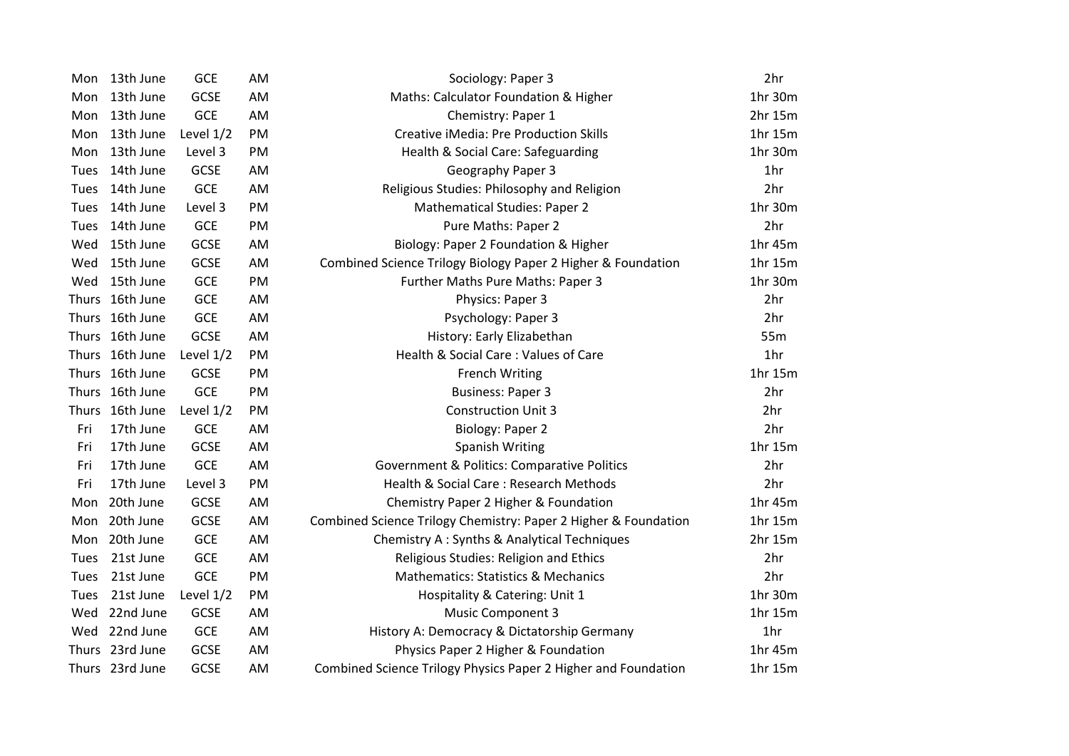| Mon   | 13th June       | GCE         | AM | Sociology: Paper 3                                              | 2hr             |
|-------|-----------------|-------------|----|-----------------------------------------------------------------|-----------------|
| Mon   | 13th June       | <b>GCSE</b> | AM | Maths: Calculator Foundation & Higher                           | 1hr 30m         |
| Mon   | 13th June       | <b>GCE</b>  | AM | Chemistry: Paper 1                                              | 2hr 15m         |
| Mon   | 13th June       | Level 1/2   | PM | <b>Creative iMedia: Pre Production Skills</b>                   | 1hr 15m         |
| Mon   | 13th June       | Level 3     | PM | Health & Social Care: Safeguarding                              | 1hr 30m         |
| Tues  | 14th June       | <b>GCSE</b> | AM | Geography Paper 3                                               | 1 <sub>hr</sub> |
| Tues  | 14th June       | GCE         | AM | Religious Studies: Philosophy and Religion                      | 2hr             |
| Tues  | 14th June       | Level 3     | PM | <b>Mathematical Studies: Paper 2</b>                            | 1hr 30m         |
| Tues  | 14th June       | <b>GCE</b>  | PM | Pure Maths: Paper 2                                             | 2hr             |
| Wed   | 15th June       | <b>GCSE</b> | AM | Biology: Paper 2 Foundation & Higher                            | 1hr 45m         |
| Wed   | 15th June       | <b>GCSE</b> | AM | Combined Science Trilogy Biology Paper 2 Higher & Foundation    | 1hr 15m         |
| Wed   | 15th June       | <b>GCE</b>  | PM | Further Maths Pure Maths: Paper 3                               | 1hr 30m         |
|       | Thurs 16th June | <b>GCE</b>  | AM | Physics: Paper 3                                                | 2hr             |
| Thurs | 16th June       | <b>GCE</b>  | AM | Psychology: Paper 3                                             | 2hr             |
|       | Thurs 16th June | <b>GCSE</b> | AM | History: Early Elizabethan                                      | 55m             |
|       | Thurs 16th June | Level 1/2   | PM | Health & Social Care: Values of Care                            | 1hr             |
|       | Thurs 16th June | <b>GCSE</b> | PM | <b>French Writing</b>                                           | 1hr 15m         |
|       | Thurs 16th June | <b>GCE</b>  | PM | <b>Business: Paper 3</b>                                        | 2hr             |
|       | Thurs 16th June | Level 1/2   | PM | <b>Construction Unit 3</b>                                      | 2hr             |
| Fri   | 17th June       | <b>GCE</b>  | AM | Biology: Paper 2                                                | 2hr             |
| Fri   | 17th June       | <b>GCSE</b> | AM | <b>Spanish Writing</b>                                          | 1hr 15m         |
| Fri   | 17th June       | <b>GCE</b>  | AM | Government & Politics: Comparative Politics                     | 2hr             |
| Fri   | 17th June       | Level 3     | PM | Health & Social Care: Research Methods                          | 2hr             |
| Mon   | 20th June       | <b>GCSE</b> | AM | Chemistry Paper 2 Higher & Foundation                           | 1hr 45m         |
| Mon   | 20th June       | <b>GCSE</b> | AM | Combined Science Trilogy Chemistry: Paper 2 Higher & Foundation | 1hr 15m         |
|       | Mon 20th June   | <b>GCE</b>  | AM | Chemistry A: Synths & Analytical Techniques                     | 2hr 15m         |
| Tues  | 21st June       | <b>GCE</b>  | AM | Religious Studies: Religion and Ethics                          | 2hr             |
| Tues  | 21st June       | <b>GCE</b>  | PM | <b>Mathematics: Statistics &amp; Mechanics</b>                  | 2hr             |
| Tues  | 21st June       | Level 1/2   | PM | Hospitality & Catering: Unit 1                                  | 1hr 30m         |
| Wed   | 22nd June       | <b>GCSE</b> | AM | <b>Music Component 3</b>                                        | 1hr 15m         |
| Wed   | 22nd June       | GCE         | AM | History A: Democracy & Dictatorship Germany                     | 1 <sub>hr</sub> |
|       | Thurs 23rd June | <b>GCSE</b> | AM | Physics Paper 2 Higher & Foundation                             | 1hr 45m         |
|       | Thurs 23rd June | <b>GCSE</b> | AM | Combined Science Trilogy Physics Paper 2 Higher and Foundation  | 1hr 15m         |